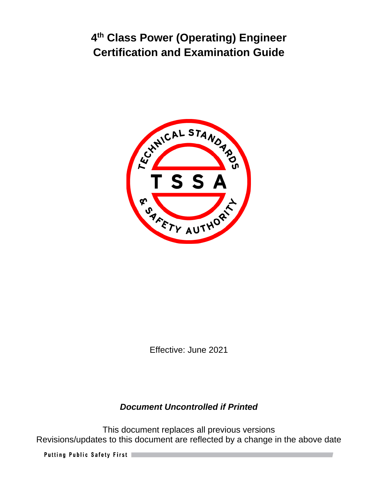

Effective: June 2021

## *Document Uncontrolled if Printed*

This document replaces all previous versions Revisions/updates to this document are reflected by a change in the above date

Putting Public Safety First |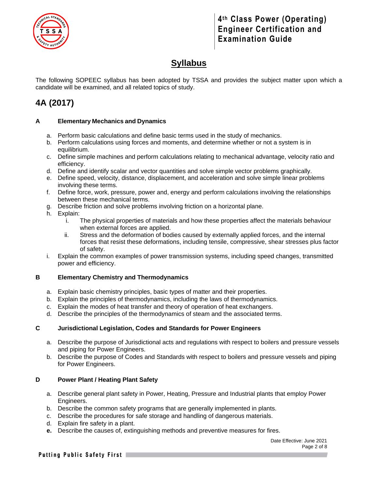

# **Syllabus**

The following SOPEEC syllabus has been adopted by TSSA and provides the subject matter upon which a candidate will be examined, and all related topics of study.

# **4A (2017)**

#### **A Elementary Mechanics and Dynamics**

- a. Perform basic calculations and define basic terms used in the study of mechanics.
- b. Perform calculations using forces and moments, and determine whether or not a system is in equilibrium.
- c. Define simple machines and perform calculations relating to mechanical advantage, velocity ratio and efficiency.
- d. Define and identify scalar and vector quantities and solve simple vector problems graphically.
- e. Define speed, velocity, distance, displacement, and acceleration and solve simple linear problems involving these terms.
- f. Define force, work, pressure, power and, energy and perform calculations involving the relationships between these mechanical terms.
- g. Describe friction and solve problems involving friction on a horizontal plane.
- h. Explain:
	- i. The physical properties of materials and how these properties affect the materials behaviour when external forces are applied.
	- ii. Stress and the deformation of bodies caused by externally applied forces, and the internal forces that resist these deformations, including tensile, compressive, shear stresses plus factor of safety.
- i. Explain the common examples of power transmission systems, including speed changes, transmitted power and efficiency.

#### **B Elementary Chemistry and Thermodynamics**

- a. Explain basic chemistry principles, basic types of matter and their properties.
- b. Explain the principles of thermodynamics, including the laws of thermodynamics.
- c. Explain the modes of heat transfer and theory of operation of heat exchangers.
- d. Describe the principles of the thermodynamics of steam and the associated terms.

#### **C Jurisdictional Legislation, Codes and Standards for Power Engineers**

- a. Describe the purpose of Jurisdictional acts and regulations with respect to boilers and pressure vessels and piping for Power Engineers.
- b. Describe the purpose of Codes and Standards with respect to boilers and pressure vessels and piping for Power Engineers.

#### **D Power Plant / Heating Plant Safety**

- a. Describe general plant safety in Power, Heating, Pressure and Industrial plants that employ Power Engineers.
- b. Describe the common safety programs that are generally implemented in plants.
- c. Describe the procedures for safe storage and handling of dangerous materials.
- d. Explain fire safety in a plant.
- **e.** Describe the causes of, extinguishing methods and preventive measures for fires.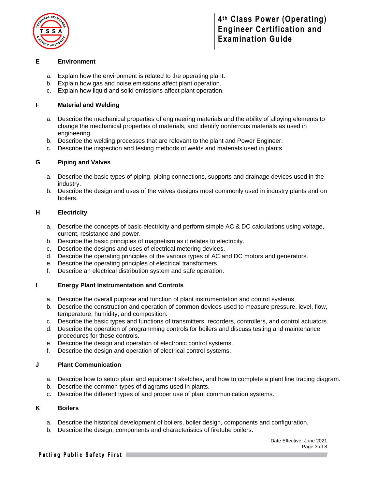

#### **E Environment**

- a. Explain how the environment is related to the operating plant.
- b. Explain how gas and noise emissions affect plant operation.
- c. Explain how liquid and solid emissions affect plant operation.

#### **F Material and Welding**

- a. Describe the mechanical properties of engineering materials and the ability of alloying elements to change the mechanical properties of materials, and identify nonferrous materials as used in engineering.
- b. Describe the welding processes that are relevant to the plant and Power Engineer.
- c. Describe the inspection and testing methods of welds and materials used in plants.

#### **G Piping and Valves**

- a. Describe the basic types of piping, piping connections, supports and drainage devices used in the industry.
- b. Describe the design and uses of the valves designs most commonly used in industry plants and on boilers.

#### **H Electricity**

- a. Describe the concepts of basic electricity and perform simple AC & DC calculations using voltage, current, resistance and power.
- b. Describe the basic principles of magnetism as it relates to electricity.
- c. Describe the designs and uses of electrical metering devices.
- d. Describe the operating principles of the various types of AC and DC motors and generators.
- e. Describe the operating principles of electrical transformers.
- f. Describe an electrical distribution system and safe operation.

#### **I Energy Plant Instrumentation and Controls**

- a. Describe the overall purpose and function of plant instrumentation and control systems.
- b. Describe the construction and operation of common devices used to measure pressure, level, flow, temperature, humidity, and composition.
- c. Describe the basic types and functions of transmitters, recorders, controllers, and control actuators.
- d. Describe the operation of programming controls for boilers and discuss testing and maintenance procedures for these controls.
- e. Describe the design and operation of electronic control systems.
- f. Describe the design and operation of electrical control systems.

#### **J Plant Communication**

- a. Describe how to setup plant and equipment sketches, and how to complete a plant line tracing diagram.
- b. Describe the common types of diagrams used in plants.
- c. Describe the different types of and proper use of plant communication systems.

#### **K Boilers**

- a. Describe the historical development of boilers, boiler design, components and configuration.
- b. Describe the design, components and characteristics of firetube boilers.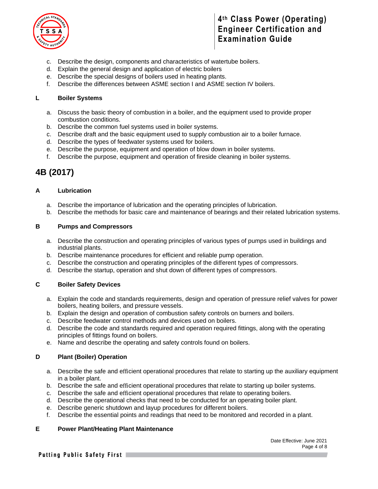

- c. Describe the design, components and characteristics of watertube boilers.
- d. Explain the general design and application of electric boilers
- e. Describe the special designs of boilers used in heating plants.
- f. Describe the differences between ASME section I and ASME section IV boilers.

#### **L Boiler Systems**

- a. Discuss the basic theory of combustion in a boiler, and the equipment used to provide proper combustion conditions.
- b. Describe the common fuel systems used in boiler systems.
- c. Describe draft and the basic equipment used to supply combustion air to a boiler furnace.
- d. Describe the types of feedwater systems used for boilers.
- e. Describe the purpose, equipment and operation of blow down in boiler systems.
- f. Describe the purpose, equipment and operation of fireside cleaning in boiler systems.

# **4B (2017)**

#### **A Lubrication**

- a. Describe the importance of lubrication and the operating principles of lubrication.
- b. Describe the methods for basic care and maintenance of bearings and their related lubrication systems.

#### **B Pumps and Compressors**

- a. Describe the construction and operating principles of various types of pumps used in buildings and industrial plants.
- b. Describe maintenance procedures for efficient and reliable pump operation.
- c. Describe the construction and operating principles of the different types of compressors.
- d. Describe the startup, operation and shut down of different types of compressors.

#### **C Boiler Safety Devices**

- a. Explain the code and standards requirements, design and operation of pressure relief valves for power boilers, heating boilers, and pressure vessels.
- b. Explain the design and operation of combustion safety controls on burners and boilers.
- c. Describe feedwater control methods and devices used on boilers.
- d. Describe the code and standards required and operation required fittings, along with the operating principles of fittings found on boilers.
- e. Name and describe the operating and safety controls found on boilers.

#### **D Plant (Boiler) Operation**

- a. Describe the safe and efficient operational procedures that relate to starting up the auxiliary equipment in a boiler plant.
- b. Describe the safe and efficient operational procedures that relate to starting up boiler systems.
- c. Describe the safe and efficient operational procedures that relate to operating boilers.
- d. Describe the operational checks that need to be conducted for an operating boiler plant.
- e. Describe generic shutdown and layup procedures for different boilers.
- f. Describe the essential points and readings that need to be monitored and recorded in a plant.

#### **E Power Plant/Heating Plant Maintenance**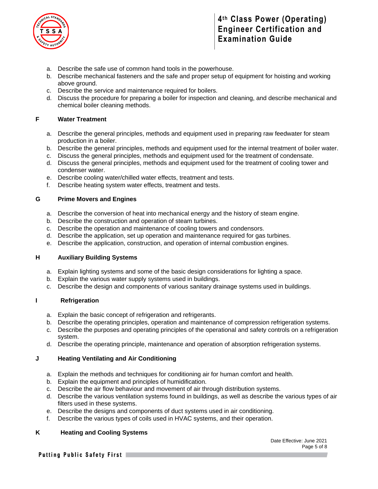

- a. Describe the safe use of common hand tools in the powerhouse.
- b. Describe mechanical fasteners and the safe and proper setup of equipment for hoisting and working above ground.
- c. Describe the service and maintenance required for boilers.
- d. Discuss the procedure for preparing a boiler for inspection and cleaning, and describe mechanical and chemical boiler cleaning methods.

#### **F Water Treatment**

- a. Describe the general principles, methods and equipment used in preparing raw feedwater for steam production in a boiler.
- b. Describe the general principles, methods and equipment used for the internal treatment of boiler water.
- c. Discuss the general principles, methods and equipment used for the treatment of condensate.
- d. Discuss the general principles, methods and equipment used for the treatment of cooling tower and condenser water.
- e. Describe cooling water/chilled water effects, treatment and tests.
- f. Describe heating system water effects, treatment and tests.

#### **G Prime Movers and Engines**

- a. Describe the conversion of heat into mechanical energy and the history of steam engine.
- b. Describe the construction and operation of steam turbines.
- c. Describe the operation and maintenance of cooling towers and condensors.
- d. Describe the application, set up operation and maintenance required for gas turbines.
- e. Describe the application, construction, and operation of internal combustion engines.

#### **H Auxiliary Building Systems**

- a. Explain lighting systems and some of the basic design considerations for lighting a space.
- b. Explain the various water supply systems used in buildings.
- c. Describe the design and components of various sanitary drainage systems used in buildings.

#### **I Refrigeration**

- a. Explain the basic concept of refrigeration and refrigerants.
- b. Describe the operating principles, operation and maintenance of compression refrigeration systems.
- c. Describe the purposes and operating principles of the operational and safety controls on a refrigeration system.
- d. Describe the operating principle, maintenance and operation of absorption refrigeration systems.

#### **J Heating Ventilating and Air Conditioning**

- a. Explain the methods and techniques for conditioning air for human comfort and health.
- b. Explain the equipment and principles of humidification.
- c. Describe the air flow behaviour and movement of air through distribution systems.
- d. Describe the various ventilation systems found in buildings, as well as describe the various types of air filters used in these systems.
- e. Describe the designs and components of duct systems used in air conditioning.
- f. Describe the various types of coils used in HVAC systems, and their operation.

#### **K Heating and Cooling Systems**

Date Effective: June 2021 Page 5 of 8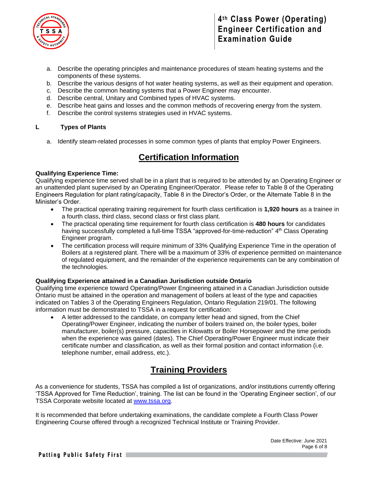

- a. Describe the operating principles and maintenance procedures of steam heating systems and the components of these systems.
- b. Describe the various designs of hot water heating systems, as well as their equipment and operation.
- c. Describe the common heating systems that a Power Engineer may encounter.
- d. Describe central, Unitary and Combined types of HVAC systems.
- e. Describe heat gains and losses and the common methods of recovering energy from the system.
- f. Describe the control systems strategies used in HVAC systems.

#### **L Types of Plants**

a. Identify steam-related processes in some common types of plants that employ Power Engineers.

### **Certification Information**

#### **Qualifying Experience Time:**

Qualifying experience time served shall be in a plant that is required to be attended by an Operating Engineer or an unattended plant supervised by an Operating Engineer/Operator. Please refer to Table 8 of the Operating Engineers Regulation for plant rating/capacity, Table 8 in the Director's Order, or the Alternate Table 8 in the Minister's Order.

- The practical operating training requirement for fourth class certification is **1,920 hours** as a trainee in a fourth class, third class, second class or first class plant.
- The practical operating time requirement for fourth class certification is **480 hours** for candidates having successfully completed a full-time TSSA "approved-for-time-reduction" 4<sup>th</sup> Class Operating Engineer program.
- The certification process will require minimum of 33% Qualifying Experience Time in the operation of Boilers at a registered plant. There will be a maximum of 33% of experience permitted on maintenance of regulated equipment, and the remainder of the experience requirements can be any combination of the technologies.

#### **Qualifying Experience attained in a Canadian Jurisdiction outside Ontario**

Qualifying time experience toward Operating/Power Engineering attained in a Canadian Jurisdiction outside Ontario must be attained in the operation and management of boilers at least of the type and capacities indicated on Tables 3 of the Operating Engineers Regulation, Ontario Regulation 219/01. The following information must be demonstrated to TSSA in a request for certification:

• A letter addressed to the candidate, on company letter head and signed, from the Chief Operating/Power Engineer, indicating the number of boilers trained on, the boiler types, boiler manufacturer, boiler(s) pressure, capacities in Kilowatts or Boiler Horsepower and the time periods when the experience was gained (dates). The Chief Operating/Power Engineer must indicate their certificate number and classification, as well as their formal position and contact information (i.e. telephone number, email address, etc.).

# **Training Providers**

As a convenience for students, TSSA has compiled a list of organizations, and/or institutions currently offering 'TSSA Approved for Time Reduction', training. The list can be found in the 'Operating Engineer section', of our TSSA Corporate website located at [www.tssa.org.](http://www.tssa.org/)

It is recommended that before undertaking examinations, the candidate complete a Fourth Class Power Engineering Course offered through a recognized Technical Institute or Training Provider.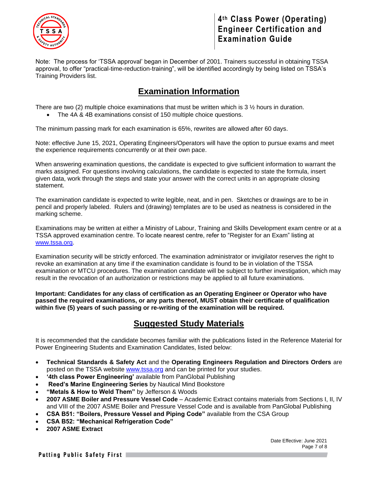

Note: The process for 'TSSA approval' began in December of 2001. Trainers successful in obtaining TSSA approval, to offer "practical-time-reduction-training", will be identified accordingly by being listed on TSSA's Training Providers list.

# **Examination Information**

There are two (2) multiple choice examinations that must be written which is 3  $\frac{1}{2}$  hours in duration.

• The 4A & 4B examinations consist of 150 multiple choice questions.

The minimum passing mark for each examination is 65%, rewrites are allowed after 60 days.

Note: effective June 15, 2021, Operating Engineers/Operators will have the option to pursue exams and meet the experience requirements concurrently or at their own pace.

When answering examination questions, the candidate is expected to give sufficient information to warrant the marks assigned. For questions involving calculations, the candidate is expected to state the formula, insert given data, work through the steps and state your answer with the correct units in an appropriate closing statement.

The examination candidate is expected to write legible, neat, and in pen. Sketches or drawings are to be in pencil and properly labeled. Rulers and (drawing) templates are to be used as neatness is considered in the marking scheme.

Examinations may be written at either a Ministry of Labour, Training and Skills Development exam centre or at a TSSA approved examination centre. To locate nearest centre, refer to "Register for an Exam" listing at [www.tssa.org.](http://www.tssa.org/)

Examination security will be strictly enforced. The examination administrator or invigilator reserves the right to revoke an examination at any time if the examination candidate is found to be in violation of the TSSA examination or MTCU procedures. The examination candidate will be subject to further investigation, which may result in the revocation of an authorization or restrictions may be applied to all future examinations.

**Important: Candidates for any class of certification as an Operating Engineer or Operator who have passed the required examinations, or any parts thereof, MUST obtain their certificate of qualification within five (5) years of such passing or re-writing of the examination will be required.** 

# **Suggested Study Materials**

It is recommended that the candidate becomes familiar with the publications listed in the Reference Material for Power Engineering Students and Examination Candidates, listed below:

- **Technical Standards & Safety Act** and the **Operating Engineers Regulation and Directors Orders** are posted on the TSSA website [www.tssa.org](http://www.tssa.org/) and can be printed for your studies.
- **'4th class Power Engineering'** available from PanGlobal Publishing
- **Reed's Marine Engineering Series** by Nautical Mind Bookstore
- **"Metals & How to Weld Them"** by Jefferson & Woods
- **2007 ASME Boiler and Pressure Vessel Code**  Academic Extract contains materials from Sections I, II, IV and VIII of the 2007 ASME Boiler and Pressure Vessel Code and is available from PanGlobal Publishing
- **CSA B51: "Boilers, Pressure Vessel and Piping Code"** available from the CSA Group
- **CSA B52: "Mechanical Refrigeration Code"**
- **2007 ASME Extract**

Date Effective: June 2021 Page 7 of 8

Putting Public Safety First